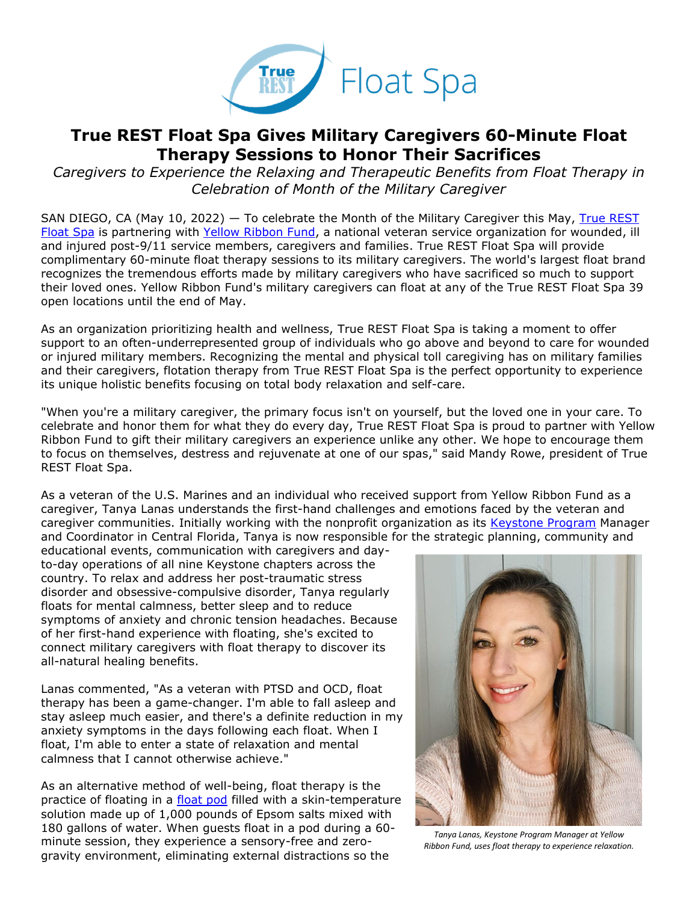

## **True REST Float Spa Gives Military Caregivers 60-Minute Float Therapy Sessions to Honor Their Sacrifices**

*Caregivers to Experience the Relaxing and Therapeutic Benefits from Float Therapy in Celebration of Month of the Military Caregiver*

SAN DIEGO, CA (May 10, 2022) — To celebrate the Month of the Military Caregiver this May, [True REST](https://truerest.com/about-us/?utm_source=true+rest+press+release&utm_medium=accesswire.com&utm_campaign=true+rest+2022+yrf+military+caregiver+floats&utm_content=true+rest+hyperlink+1)  [Float Spa](https://truerest.com/about-us/?utm_source=true+rest+press+release&utm_medium=accesswire.com&utm_campaign=true+rest+2022+yrf+military+caregiver+floats&utm_content=true+rest+hyperlink+1) is partnering with [Yellow Ribbon Fund,](https://yellowribbonfund.org/story/?utm_source=true+rest+press+release&utm_medium=accesswire.com&utm_campaign=true+rest+2022+yrf+military+caregiver+floats&utm_content=true+rest+hyperlink+2) a national veteran service organization for wounded, ill and injured post-9/11 service members, caregivers and families. True REST Float Spa will provide complimentary 60-minute float therapy sessions to its military caregivers. The world's largest float brand recognizes the tremendous efforts made by military caregivers who have sacrificed so much to support their loved ones. Yellow Ribbon Fund's military caregivers can float at any of the True REST Float Spa 39 open locations until the end of May.

As an organization prioritizing health and wellness, True REST Float Spa is taking a moment to offer support to an often-underrepresented group of individuals who go above and beyond to care for wounded or injured military members. Recognizing the mental and physical toll caregiving has on military families and their caregivers, flotation therapy from True REST Float Spa is the perfect opportunity to experience its unique holistic benefits focusing on total body relaxation and self-care.

"When you're a military caregiver, the primary focus isn't on yourself, but the loved one in your care. To celebrate and honor them for what they do every day, True REST Float Spa is proud to partner with Yellow Ribbon Fund to gift their military caregivers an experience unlike any other. We hope to encourage them to focus on themselves, destress and rejuvenate at one of our spas," said Mandy Rowe, president of True REST Float Spa.

As a veteran of the U.S. Marines and an individual who received support from Yellow Ribbon Fund as a caregiver, Tanya Lanas understands the first-hand challenges and emotions faced by the veteran and caregiver communities. Initially working with the nonprofit organization as its [Keystone Program](https://yellowribbonfund.org/programs/keystone-program/?utm_source=true+rest+press+release&utm_medium=accesswire.com&utm_campaign=true+rest+2022+yrf+military+caregiver+floats&utm_content=true+rest+hyperlink+3) Manager and Coordinator in Central Florida, Tanya is now responsible for the strategic planning, community and

educational events, communication with caregivers and dayto-day operations of all nine Keystone chapters across the country. To relax and address her post-traumatic stress disorder and obsessive-compulsive disorder, Tanya regularly floats for mental calmness, better sleep and to reduce symptoms of anxiety and chronic tension headaches. Because of her first-hand experience with floating, she's excited to connect military caregivers with float therapy to discover its all-natural healing benefits.

Lanas commented, "As a veteran with PTSD and OCD, float therapy has been a game-changer. I'm able to fall asleep and stay asleep much easier, and there's a definite reduction in my anxiety symptoms in the days following each float. When I float, I'm able to enter a state of relaxation and mental calmness that I cannot otherwise achieve."

As an alternative method of well-being, float therapy is the practice of floating in a [float pod](https://truerest.com/how-float-therapy-pods-provide-a-solution-for-sleep/?utm_source=true+rest+press+release&utm_medium=accesswire.com&utm_campaign=true+rest+2022+yrf+military+caregiver+floats&utm_content=true+rest+hyperlink+9) filled with a skin-temperature solution made up of 1,000 pounds of Epsom salts mixed with 180 gallons of water. When guests float in a pod during a 60 minute session, they experience a sensory-free and zerogravity environment, eliminating external distractions so the



*Tanya Lanas, Keystone Program Manager at Yellow Ribbon Fund, uses float therapy to experience relaxation.*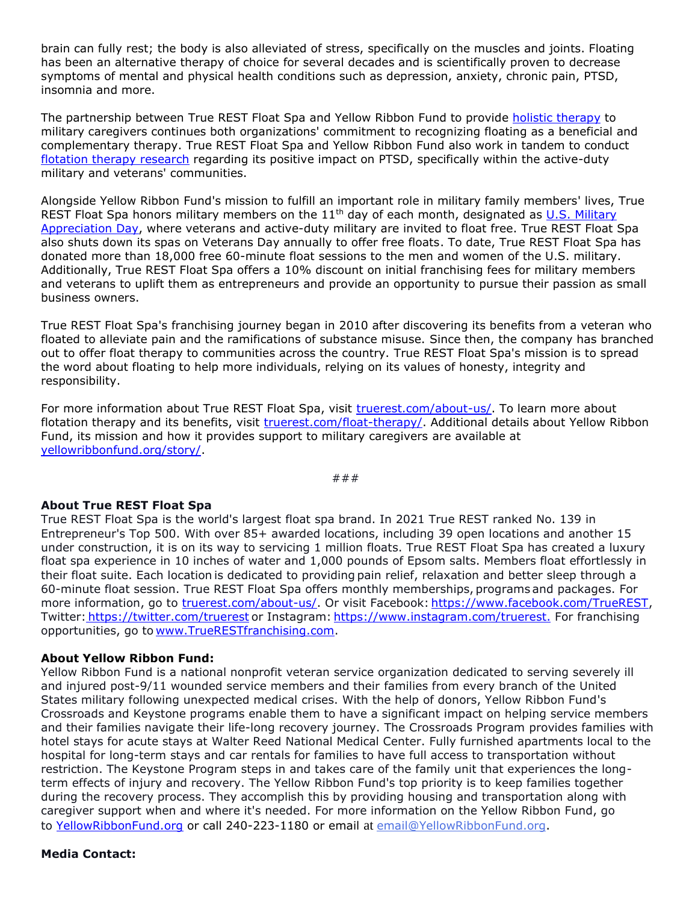brain can fully rest; the body is also alleviated of stress, specifically on the muscles and joints. Floating has been an alternative therapy of choice for several decades and is scientifically proven to decrease symptoms of mental and physical health conditions such as depression, anxiety, chronic pain, PTSD, insomnia and more.

The partnership between True REST Float Spa and Yellow Ribbon Fund to provide [holistic therapy](https://truerest.com/how-float-therapy-is-a-holistic-therapy/?utm_source=true+rest+press+release&utm_medium=accesswire.com&utm_campaign=true+rest+2022+yrf+military+caregiver+floats&utm_content=true+rest+hyperlink+8) to military caregivers continues both organizations' commitment to recognizing floating as a beneficial and complementary therapy. True REST Float Spa and Yellow Ribbon Fund also work in tandem to conduct [flotation therapy research](https://truerest.com/donate/?utm_source=true+rest+press+release&utm_medium=accesswire.com&utm_campaign=true+rest+2022+yrf+military+caregiver+floats&utm_content=true+rest+hyperlink+10) regarding its positive impact on PTSD, specifically within the active-duty military and veterans' communities.

Alongside Yellow Ribbon Fund's mission to fulfill an important role in military family members' lives, True REST Float Spa honors military members on the  $11<sup>th</sup>$  day of each month, designated as U.S. Military [Appreciation Day,](https://truerest.com/free-floats-for-military-veterans/?utm_source=true+rest+press+release&utm_medium=accesswire.com&utm_campaign=true+rest+2022+yrf+military+caregiver+floats&utm_content=true+rest+hyperlink+4) where veterans and active-duty military are invited to float free. True REST Float Spa also shuts down its spas on Veterans Day annually to offer free floats. To date, True REST Float Spa has donated more than 18,000 free 60-minute float sessions to the men and women of the U.S. military. Additionally, True REST Float Spa offers a 10% discount on initial franchising fees for military members and veterans to uplift them as entrepreneurs and provide an opportunity to pursue their passion as small business owners.

True REST Float Spa's franchising journey began in 2010 after discovering its benefits from a veteran who floated to alleviate pain and the ramifications of substance misuse. Since then, the company has branched out to offer float therapy to communities across the country. True REST Float Spa's mission is to spread the word about floating to help more individuals, relying on its values of honesty, integrity and responsibility.

For more information about True REST Float Spa, visit [truerest.com/about-us/.](https://truerest.com/about-us/?utm_source=true+rest+press+release&utm_medium=accesswire.com&utm_campaign=true+rest+2022+yrf+military+caregiver+floats&utm_content=true+rest+hyperlink+5) To learn more about flotation therapy and its benefits, visit [truerest.com/float-therapy/.](https://truerest.com/float-therapy/?utm_source=true+rest+press+release&utm_medium=accesswire.com&utm_campaign=true+rest+2022+yrf+military+caregiver+floats&utm_content=true+rest+hyperlink+6) Additional details about Yellow Ribbon Fund, its mission and how it provides support to military caregivers are available at [yellowribbonfund.org/story/.](https://yellowribbonfund.org/story/?utm_source=true+rest+press+release&utm_medium=accesswire.com&utm_campaign=true+rest+2022+yrf+military+caregiver+floats&utm_content=true+rest+hyperlink+7)

### 

## **About True REST Float Spa**

True REST Float Spa is the world's largest float spa brand. In 2021 True REST ranked No. 139 in Entrepreneur's Top 500. With over 85+ awarded locations, including 39 open locations and another 15 under construction, it is on its way to servicing 1 million floats. True REST Float Spa has created a luxury float spa experience in 10 inches of water and 1,000 pounds of Epsom salts. Members float effortlessly in their float suite. Each location is dedicated to providing pain relief, relaxation and better sleep through a 60-minute float session. True REST Float Spa offers monthly memberships, programs and packages. For more information, go to [truerest.com/about-us/.](https://truerest.com/about-us/?utm_source=true+rest+press+release&utm_medium=accesswire.com&utm_campaign=true+rest+2022+yrf+military+caregiver+floats&utm_content=true+rest+boilerplate+1) Or visit Facebook: [https://www.facebook.com/TrueREST,](https://bit.ly/2U3rbQz) Twitter: [https://twitter.com/truerest](https://twitter.com/truerest?lang=en&utm_source=Press+release&utm_medium=Press+release&utm_id=True+Rest+OT) or Instagram: [https://www.instagram.com/truerest.](https://www.instagram.com/truerest?utm_source=press+release&utm_medium=press+release&utm_campaign=tr+ocean+township) For franchising opportunities, go to [www.TrueRESTfranchising.com](https://bit.ly/3e7HuT5).

## **About Yellow Ribbon Fund:**

Yellow Ribbon Fund is a national nonprofit veteran service organization dedicated to serving severely ill and injured post-9/11 wounded service members and their families from every branch of the United States military following unexpected medical crises. With the help of donors, Yellow Ribbon Fund's Crossroads and Keystone programs enable them to have a significant impact on helping service members and their families navigate their life-long recovery journey. The Crossroads Program provides families with hotel stays for acute stays at Walter Reed National Medical Center. Fully furnished apartments local to the hospital for long-term stays and car rentals for families to have full access to transportation without restriction. The Keystone Program steps in and takes care of the family unit that experiences the longterm effects of injury and recovery. The Yellow Ribbon Fund's top priority is to keep families together during the recovery process. They accomplish this by providing housing and transportation along with caregiver support when and where it's needed. For more information on the Yellow Ribbon Fund, go to [YellowRibbonFund.org](https://yellowribbonfund.org/story/?utm_source=true+rest+press+release&utm_medium=accesswire.com&utm_campaign=true+rest+2022+yrf+military+caregiver+floats&utm_content=true+rest+boilerplate+3) or call 240-223-1180 or email [at](mailto:email@YellowRibbonFund.org) [email@YellowRibbonFund.org.](mailto:email@YellowRibbonFund.org)

## **Media Contact:**